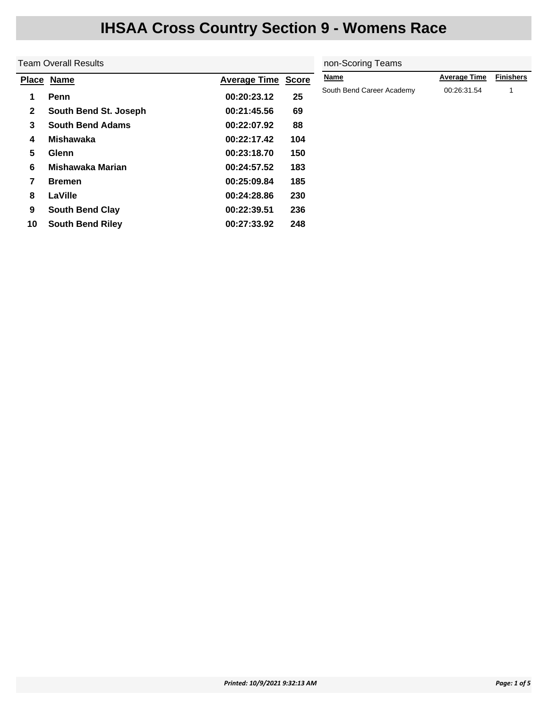|              | <b>Team Overall Results</b> | non-Scoring Teams   |              |                           |                     |                  |
|--------------|-----------------------------|---------------------|--------------|---------------------------|---------------------|------------------|
|              | Place Name                  | <b>Average Time</b> | <b>Score</b> | <b>Name</b>               | <b>Average Time</b> | <b>Finishers</b> |
| 1            | Penn                        | 00:20:23.12         | 25           | South Bend Career Academy | 00:26:31.54         |                  |
| $\mathbf{2}$ | South Bend St. Joseph       | 00:21:45.56         | 69           |                           |                     |                  |
| 3            | <b>South Bend Adams</b>     | 00:22:07.92         | 88           |                           |                     |                  |
| 4            | Mishawaka                   | 00:22:17.42         | 104          |                           |                     |                  |
| 5            | <b>Glenn</b>                | 00:23:18.70         | 150          |                           |                     |                  |
| 6            | Mishawaka Marian            | 00:24:57.52         | 183          |                           |                     |                  |
| 7            | <b>Bremen</b>               | 00:25:09.84         | 185          |                           |                     |                  |
| 8            | LaVille                     | 00:24:28.86         | 230          |                           |                     |                  |
| 9            | <b>South Bend Clay</b>      | 00:22:39.51         | 236          |                           |                     |                  |
| 10           | <b>South Bend Riley</b>     | 00:27:33.92         | 248          |                           |                     |                  |
|              |                             |                     |              |                           |                     |                  |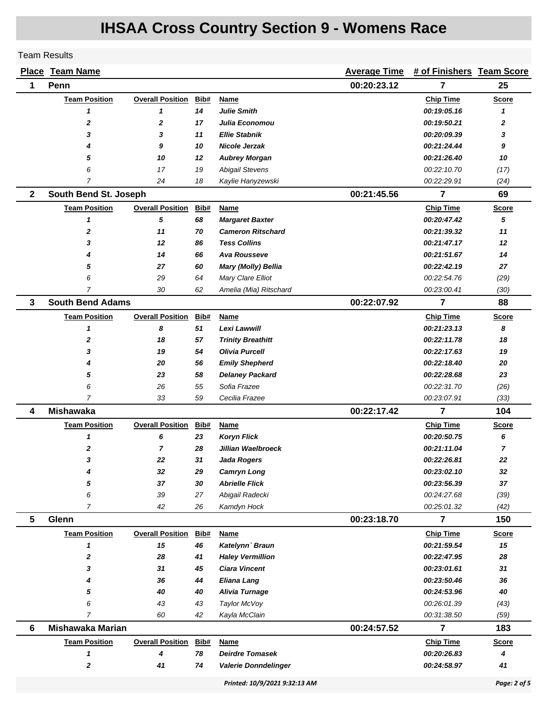#### Team Results

| Place        | <b>Team Name</b>        |                         |      |                               | <b>Average Time</b> | # of Finishers Team Score |                |
|--------------|-------------------------|-------------------------|------|-------------------------------|---------------------|---------------------------|----------------|
| 1            | Penn                    |                         |      |                               | 00:20:23.12         | 7                         | 25             |
|              | <b>Team Position</b>    | <b>Overall Position</b> | Bib# | Name                          |                     | <b>Chip Time</b>          | <b>Score</b>   |
|              | 1                       | 1                       | 14   | <b>Julie Smith</b>            |                     | 00:19:05.16               | 1              |
|              | $\mathbf 2$             | $\mathbf 2$             | 17   | Julia Economou                |                     | 00:19:50.21               | 2              |
|              | 3                       | 3                       | 11   | <b>Ellie Stabnik</b>          |                     | 00:20:09.39               | 3              |
|              | 4                       | 9                       | 10   | Nicole Jerzak                 |                     | 00:21:24.44               | 9              |
|              | 5                       | 10                      | 12   | <b>Aubrey Morgan</b>          |                     | 00:21:26.40               | 10             |
|              | 6                       | 17                      | 19   | <b>Abigail Stevens</b>        |                     | 00:22:10.70               | (17)           |
|              | $\overline{7}$          | 24                      | 18   | Kaylie Hanyzewski             |                     | 00:22:29.91               | (24)           |
| $\mathbf{2}$ | South Bend St. Joseph   |                         |      |                               | 00:21:45.56         | 7                         | 69             |
|              | <b>Team Position</b>    | <b>Overall Position</b> | Bib# | <b>Name</b>                   |                     | <b>Chip Time</b>          | <b>Score</b>   |
|              | 1                       | 5                       | 68   | <b>Margaret Baxter</b>        |                     | 00:20:47.42               | 5              |
|              | $\mathbf{2}$            | 11                      | 70   | <b>Cameron Ritschard</b>      |                     | 00:21:39.32               | 11             |
|              | 3                       | 12                      | 86   | <b>Tess Collins</b>           |                     | 00:21:47.17               | 12             |
|              | 4                       | 14                      | 66   | <b>Ava Rousseve</b>           |                     | 00:21:51.67               | 14             |
|              | 5                       | 27                      | 60   | Mary (Molly) Bellia           |                     | 00:22:42.19               | 27             |
|              | 6                       | 29                      | 64   | Mary Clare Elliot             |                     | 00:22:54.76               | (29)           |
|              | 7                       | 30                      | 62   | Amelia (Mia) Ritschard        |                     | 00:23:00.41               | (30)           |
| 3            | <b>South Bend Adams</b> |                         |      |                               | 00:22:07.92         | $\overline{7}$            | 88             |
|              | <b>Team Position</b>    | <b>Overall Position</b> | Bib# | <b>Name</b>                   |                     | <b>Chip Time</b>          | <b>Score</b>   |
|              | 1                       | 8                       | 51   | Lexi Lawwill                  |                     | 00:21:23.13               | 8              |
|              | 2                       | 18                      | 57   | <b>Trinity Breathitt</b>      |                     | 00:22:11.78               | 18             |
|              | 3                       | 19                      | 54   | <b>Olivia Purcell</b>         |                     | 00:22:17.63               | 19             |
|              | 4                       | 20                      | 56   | <b>Emily Shepherd</b>         |                     | 00:22:18.40               | 20             |
|              | 5                       | 23                      | 58   | <b>Delaney Packard</b>        |                     | 00:22:28.68               | 23             |
|              | 6                       | 26                      | 55   | Sofia Frazee                  |                     | 00:22:31.70               | (26)           |
|              | $\overline{7}$          | 33                      | 59   | Cecilia Frazee                |                     | 00:23:07.91               | (33)           |
| 4            | <b>Mishawaka</b>        |                         |      |                               | 00:22:17.42         | $\overline{7}$            | 104            |
|              | <b>Team Position</b>    | <b>Overall Position</b> | Bib# | Name                          |                     | <b>Chip Time</b>          | Score          |
|              | 1                       | 6                       | 23   | <b>Koryn Flick</b>            |                     | 00:20:50.75               | 6              |
|              | 2                       | $\overline{7}$          | 28   | Jillian Waelbroeck            |                     | 00:21:11.04               | $\overline{7}$ |
|              | 3                       | 22                      | 31   | <b>Jada Rogers</b>            |                     | 00:22:26.81               | 22             |
|              | 4                       | 32                      | 29   | <b>Camryn Long</b>            |                     | 00:23:02.10               | 32             |
|              | 5                       | 37                      | 30   | <b>Abrielle Flick</b>         |                     | 00:23:56.39               | 37             |
|              | 6                       | 39                      | 27   | Abigail Radecki               |                     | 00:24:27.68               | (39)           |
|              | $\overline{7}$          | 42                      | 26   | Kamdyn Hock                   |                     | 00:25:01.32               | (42)           |
| 5            | Glenn                   |                         |      |                               | 00:23:18.70         | $\overline{7}$            | 150            |
|              | <b>Team Position</b>    | <b>Overall Position</b> | Bib# | Name                          |                     | <b>Chip Time</b>          | <b>Score</b>   |
|              | 1                       | 15                      | 46   | Katelynn' Braun               |                     | 00:21:59.54               | 15             |
|              | 2                       | 28                      | 41   | <b>Haley Vermillion</b>       |                     | 00:22:47.95               | 28             |
|              | 3                       | 31                      | 45   | <b>Ciara Vincent</b>          |                     | 00:23:01.61               | 31             |
|              | 4                       | 36                      | 44   | <b>Eliana Lang</b>            |                     | 00:23:50.46               | 36             |
|              | 5                       | 40                      | 40   | <b>Alivia Turnage</b>         |                     | 00:24:53.96               | 40             |
|              | 6                       | 43                      | 43   | Taylor McVoy                  |                     | 00:26:01.39               | (43)           |
|              | $\overline{7}$          | 60                      | 42   | Kayla McClain                 |                     | 00:31:38.50               | (59)           |
| 6            | <b>Mishawaka Marian</b> |                         |      |                               | 00:24:57.52         | $\overline{7}$            | 183            |
|              | <b>Team Position</b>    | <b>Overall Position</b> | Bib# | Name                          |                     | <b>Chip Time</b>          | <b>Score</b>   |
|              | 1                       | 4                       | 78   | <b>Deirdre Tomasek</b>        |                     | 00:20:26.83               | 4              |
|              | 2                       | 41                      | 74   | <b>Valerie Donndelinger</b>   |                     | 00:24:58.97               | 41             |
|              |                         |                         |      | Printed: 10/9/2021 9:32:13 AM |                     |                           | Page: 2 of 5   |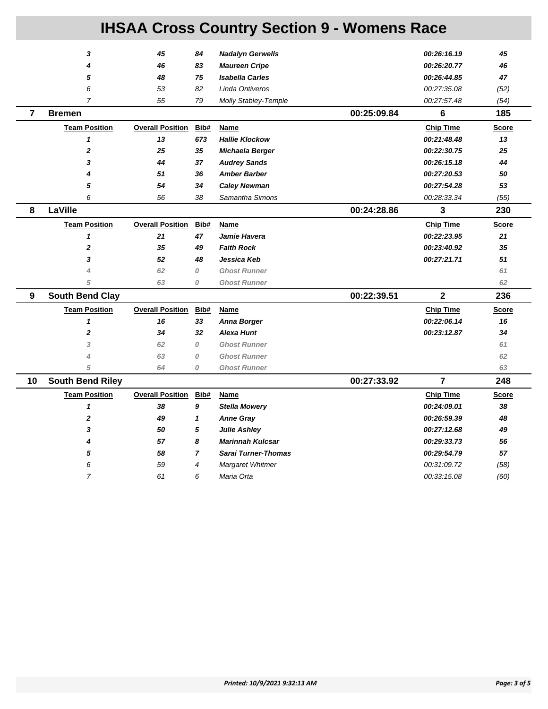|                | 3                       | 45                      | 84             | <b>Nadalyn Gerwells</b> |             | 00:26:16.19      | 45           |
|----------------|-------------------------|-------------------------|----------------|-------------------------|-------------|------------------|--------------|
|                | 4                       | 46                      | 83             | <b>Maureen Cripe</b>    |             | 00:26:20.77      | 46           |
|                | 5                       | 48                      | 75             | <b>Isabella Carles</b>  |             | 00:26:44.85      | 47           |
|                | 6                       | 53                      | 82             | Linda Ontiveros         |             | 00:27:35.08      | (52)         |
|                | $\overline{7}$          | 55                      | 79             | Molly Stabley-Temple    |             | 00:27:57.48      | (54)         |
| $\overline{7}$ | <b>Bremen</b>           |                         |                |                         | 00:25:09.84 | 6                | 185          |
|                | <b>Team Position</b>    | <b>Overall Position</b> | Bib#           | Name                    |             | <b>Chip Time</b> | <b>Score</b> |
|                | $\mathbf{1}$            | 13                      | 673            | <b>Hallie Klockow</b>   |             | 00:21:48.48      | 13           |
|                | $\overline{2}$          | 25                      | 35             | Michaela Berger         |             | 00:22:30.75      | 25           |
|                | 3                       | 44                      | 37             | <b>Audrey Sands</b>     |             | 00:26:15.18      | 44           |
|                | 4                       | 51                      | 36             | <b>Amber Barber</b>     |             | 00:27:20.53      | 50           |
|                | 5                       | 54                      | 34             | <b>Caley Newman</b>     |             | 00:27:54.28      | 53           |
|                | 6                       | 56                      | 38             | Samantha Simons         |             | 00:28:33.34      | (55)         |
| 8              | LaVille                 |                         |                |                         | 00:24:28.86 | 3                | 230          |
|                | <b>Team Position</b>    | <b>Overall Position</b> | Bib#           | Name                    |             | <b>Chip Time</b> | <b>Score</b> |
|                | $\mathbf{1}$            | 21                      | 47             | Jamie Havera            |             | 00:22:23.95      | 21           |
|                | $\boldsymbol{2}$        | 35                      | 49             | <b>Faith Rock</b>       |             | 00:23:40.92      | 35           |
|                | 3                       | 52                      | 48             | Jessica Keb             |             | 00:27:21.71      | 51           |
|                | 4                       | 62                      | 0              | <b>Ghost Runner</b>     |             |                  | 61           |
|                | 5                       | 63                      | 0              | <b>Ghost Runner</b>     |             |                  | 62           |
| 9              | <b>South Bend Clay</b>  |                         |                |                         | 00:22:39.51 | $\overline{2}$   | 236          |
|                | <b>Team Position</b>    | <b>Overall Position</b> | Bib#           | Name                    |             | <b>Chip Time</b> | <b>Score</b> |
|                | $\mathbf{1}$            | 16                      | 33             | <b>Anna Borger</b>      |             | 00:22:06.14      | 16           |
|                | $\mathbf{2}$            | 34                      | 32             | <b>Alexa Hunt</b>       |             | 00:23:12.87      | 34           |
|                | 3                       | 62                      | 0              | <b>Ghost Runner</b>     |             |                  | 61           |
|                | 4                       | 63                      | 0              | <b>Ghost Runner</b>     |             |                  | 62           |
|                | 5                       | 64                      | 0              | <b>Ghost Runner</b>     |             |                  | 63           |
| 10             | <b>South Bend Riley</b> |                         |                |                         | 00:27:33.92 | $\overline{7}$   | 248          |
|                | <b>Team Position</b>    | <b>Overall Position</b> | Bib#           | Name                    |             | <b>Chip Time</b> | <b>Score</b> |
|                | $\mathbf{1}$            | 38                      | 9              | <b>Stella Mowery</b>    |             | 00:24:09.01      | 38           |
|                | $\mathbf{2}$            | 49                      | 1              | <b>Anne Gray</b>        |             | 00:26:59.39      | 48           |
|                | 3                       | 50                      | 5              | <b>Julie Ashley</b>     |             | 00:27:12.68      | 49           |
|                | 4                       | 57                      | 8              | <b>Marinnah Kulcsar</b> |             | 00:29:33.73      | 56           |
|                |                         |                         |                |                         |             |                  |              |
|                | 5                       | 58                      | $\overline{7}$ | Sarai Turner-Thomas     |             | 00:29:54.79      | 57           |
|                | 6                       | 59                      | $\overline{4}$ | Margaret Whitmer        |             | 00:31:09.72      | (58)         |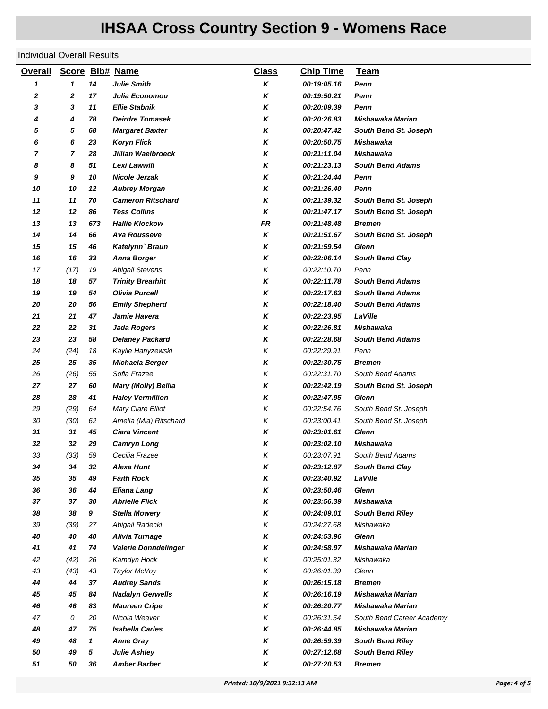#### Individual Overall Results

| <b>Overall</b> |                |         | Score Bib# Name                               | <b>Class</b> | <b>Chip Time</b>           | <b>Team</b>                          |
|----------------|----------------|---------|-----------------------------------------------|--------------|----------------------------|--------------------------------------|
| 1              | 1              | 14      | <b>Julie Smith</b>                            | Κ            | 00:19:05.16                | Penn                                 |
| 2              | 2              | 17      | Julia Economou                                | κ            | 00:19:50.21                | Penn                                 |
| 3              | 3              | 11      | <b>Ellie Stabnik</b>                          | κ            | 00:20:09.39                | Penn                                 |
| 4              | 4              | 78      | <b>Deirdre Tomasek</b>                        | Κ            | <i><b>00:20:26.83</b></i>  | Mishawaka Marian                     |
| 5              | 5              | 68      | <b>Margaret Baxter</b>                        | κ            | <i><b>00:20:47.42</b></i>  | South Bend St. Joseph                |
| 6              | 6              | 23      | <b>Koryn Flick</b>                            | κ            | 00:20:50.75                | Mishawaka                            |
| 7              | $\overline{7}$ | 28      | Jillian Waelbroeck                            | κ            | 00:21:11.04                | Mishawaka                            |
| 8              | 8              | 51      | Lexi Lawwill                                  | κ            | 00:21:23.13                | <b>South Bend Adams</b>              |
| 9              | 9              | 10      | <b>Nicole Jerzak</b>                          | κ            | 00:21:24.44                | Penn                                 |
| 10             | 10             | 12      | <b>Aubrey Morgan</b>                          | κ            | <i><b>00:21:26.40</b></i>  | Penn                                 |
| 11             | 11             | 70      | <b>Cameron Ritschard</b>                      | Κ            | 00:21:39.32                | South Bend St. Joseph                |
| 12             | 12             | 86      | <b>Tess Collins</b>                           | κ            | 00:21:47.17                | South Bend St. Joseph                |
| 13             | 13             | 673     | <b>Hallie Klockow</b>                         | FR           | 00:21:48.48                | <b>Bremen</b>                        |
| 14             | 14             | 66      | <b>Ava Rousseve</b>                           | Κ            | 00:21:51.67                | South Bend St. Joseph                |
| 15             | 15             | 46      | Katelynn' Braun                               | Κ            | 00:21:59.54                | <b>Glenn</b>                         |
| 16             | 16             | 33      | <b>Anna Borger</b>                            | κ            | 00:22:06.14                | <b>South Bend Clay</b>               |
| 17             | (17)           | 19      | <b>Abigail Stevens</b>                        | Κ            | 00:22:10.70                | Penn                                 |
| 18             | 18             | 57      | <b>Trinity Breathitt</b>                      | κ            | 00:22:11.78                | <b>South Bend Adams</b>              |
| 19             | 19             | 54      | <b>Olivia Purcell</b>                         | Κ            | 00:22:17.63                | <b>South Bend Adams</b>              |
| 20             | 20             | 56      | <b>Emily Shepherd</b>                         | κ            | 00:22:18.40                | <b>South Bend Adams</b>              |
| 21             | 21             | 47      | Jamie Havera                                  | κ            | 00:22:23.95                | LaVille                              |
| 22             | 22             | 31      | <b>Jada Rogers</b>                            | Κ            | 00:22:26.81                | Mishawaka                            |
| 23             | 23             | 58      | <b>Delaney Packard</b>                        | Κ            | 00:22:28.68                | <b>South Bend Adams</b>              |
| 24             | (24)           | 18      | Kaylie Hanyzewski                             | Κ            | 00:22:29.91                | Penn                                 |
| 25             | 25             | 35      | Michaela Berger                               | κ            | 00:22:30.75                | <b>Bremen</b>                        |
| 26             | (26)           | 55      | Sofia Frazee                                  | Κ            | 00:22:31.70                | South Bend Adams                     |
| 27             | 27             | 60      | Mary (Molly) Bellia                           | κ            | 00:22:42.19                | South Bend St. Joseph                |
| 28             | 28             | 41      | <b>Haley Vermillion</b>                       | κ            | 00:22:47.95                | Glenn                                |
| 29             | (29)           | 64      | Mary Clare Elliot                             | Κ            | 00:22:54.76                | South Bend St. Joseph                |
| 30             | (30)           | 62      | Amelia (Mia) Ritschard                        | Κ            | 00:23:00.41                | South Bend St. Joseph                |
| 31             | 31             | 45      | <b>Ciara Vincent</b>                          | κ            | 00:23:01.61                | <b>Glenn</b>                         |
| 32             | 32             | 29      | <b>Camryn Long</b>                            | Κ            | 00:23:02.10                | Mishawaka                            |
| 33             | (33)           | 59      | Cecilia Frazee                                | Κ            | 00:23:07.91                | South Bend Adams                     |
| 34             | 34             | 32      | <b>Alexa Hunt</b>                             | κ            | 00:23:12.87                | <b>South Bend Clay</b>               |
| 35             | 35             | 49      | <b>Faith Rock</b>                             | Κ            | 00:23:40.92                | LaVille                              |
| 36             | 36             | 44      | Eliana Lang                                   | Κ            | 00:23:50.46                | Glenn                                |
| 37<br>38       | 37<br>38       | 30<br>9 | <b>Abrielle Flick</b><br><b>Stella Mowery</b> | κ<br>κ       | 00:23:56.39<br>00:24:09.01 | Mishawaka<br><b>South Bend Riley</b> |
| 39             | (39)           | 27      | Abigail Radecki                               | Κ            | 00:24:27.68                | Mishawaka                            |
| 40             | 40             | 40      | Alivia Turnage                                | Κ            | 00:24:53.96                | <b>Glenn</b>                         |
| 41             | 41             | 74      | <b>Valerie Donndelinger</b>                   | Κ            | 00:24:58.97                | Mishawaka Marian                     |
| 42             | (42)           | 26      | Kamdyn Hock                                   | Κ            | 00:25:01.32                | Mishawaka                            |
| 43             | (43)           | 43      | Taylor McVoy                                  | Κ            | 00:26:01.39                | Glenn                                |
| 44             | 44             | 37      | <b>Audrey Sands</b>                           | Κ            | 00:26:15.18                | <b>Bremen</b>                        |
| 45             | 45             | 84      | <b>Nadalyn Gerwells</b>                       | κ            | 00:26:16.19                | Mishawaka Marian                     |
| 46             | 46             | 83      | <b>Maureen Cripe</b>                          | κ            | <i><b>00:26:20.77</b></i>  | Mishawaka Marian                     |
| 47             | 0              | 20      | Nicola Weaver                                 | Κ            | 00:26:31.54                | South Bend Career Academy            |
| 48             | 47             | 75      | <b>Isabella Carles</b>                        | Κ            | 00:26:44.85                | Mishawaka Marian                     |
| 49             | 48             | 1       | <b>Anne Gray</b>                              | Κ            | 00:26:59.39                | <b>South Bend Riley</b>              |
| 50             | 49             | 5       | <b>Julie Ashley</b>                           | Κ            | 00:27:12.68                | <b>South Bend Riley</b>              |
| 51             | 50             | 36      | <b>Amber Barber</b>                           | Κ            | <i><b>00:27:20.53</b></i>  | <b>Bremen</b>                        |